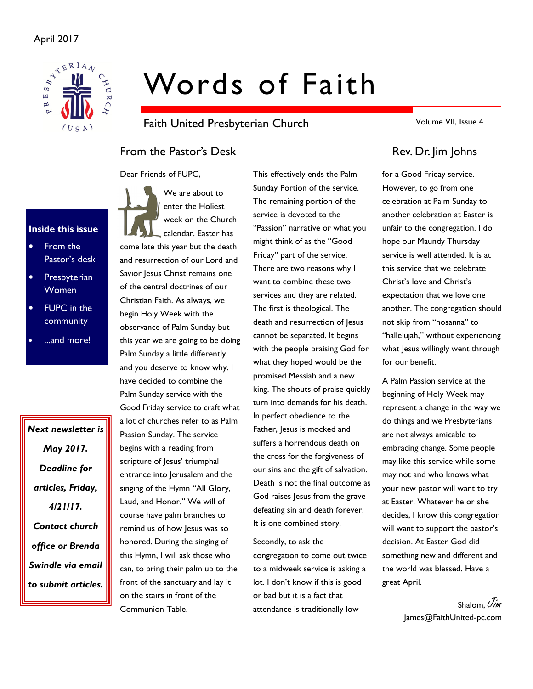

# Words of Faith

Faith United Presbyterian Church

From the Pastor's Desk Rev. Dr. Jim Johns

Dear Friends of FUPC,



- From the Pastor's desk
- **Presbyterian** Women
- **FUPC** in the community
- ...and more!

Next newsletter is May 2017. Deadline for articles, Friday, 4/21/17. Contact church office or Brenda Swindle via email to submit articles.

We are about to enter the Holiest week on the Church calendar. Easter has come late this year but the death and resurrection of our Lord and Savior Jesus Christ remains one of the central doctrines of our Christian Faith. As always, we begin Holy Week with the observance of Palm Sunday but this year we are going to be doing Palm Sunday a little differently and you deserve to know why. I have decided to combine the Palm Sunday service with the Good Friday service to craft what a lot of churches refer to as Palm Passion Sunday. The service begins with a reading from scripture of Jesus' triumphal entrance into Jerusalem and the singing of the Hymn "All Glory, Laud, and Honor." We will of course have palm branches to remind us of how Jesus was so honored. During the singing of this Hymn, I will ask those who can, to bring their palm up to the front of the sanctuary and lay it on the stairs in front of the Communion Table.

This effectively ends the Palm Sunday Portion of the service. The remaining portion of the service is devoted to the "Passion" narrative or what you might think of as the "Good Friday" part of the service. There are two reasons why I want to combine these two services and they are related. The first is theological. The death and resurrection of Jesus cannot be separated. It begins with the people praising God for what they hoped would be the promised Messiah and a new king. The shouts of praise quickly turn into demands for his death. In perfect obedience to the Father, Jesus is mocked and suffers a horrendous death on the cross for the forgiveness of our sins and the gift of salvation. Death is not the final outcome as God raises Jesus from the grave defeating sin and death forever. It is one combined story.

Secondly, to ask the congregation to come out twice to a midweek service is asking a lot. I don't know if this is good or bad but it is a fact that attendance is traditionally low

Volume VII, Issue 4

for a Good Friday service. However, to go from one celebration at Palm Sunday to another celebration at Easter is unfair to the congregation. I do hope our Maundy Thursday service is well attended. It is at this service that we celebrate Christ's love and Christ's expectation that we love one another. The congregation should not skip from "hosanna" to "hallelujah," without experiencing what Jesus willingly went through for our benefit.

A Palm Passion service at the beginning of Holy Week may represent a change in the way we do things and we Presbyterians are not always amicable to embracing change. Some people may like this service while some may not and who knows what your new pastor will want to try at Easter. Whatever he or she decides, I know this congregation will want to support the pastor's decision. At Easter God did something new and different and the world was blessed. Have a great April.

> Shalom, Uim James@FaithUnited-pc.com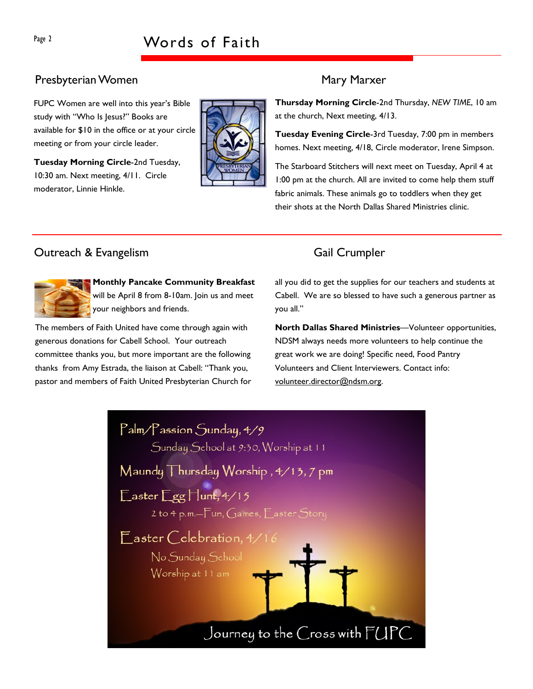# Presbyterian Women Mary Marxer

FUPC Women are well into this year's Bible study with "Who Is Jesus?" Books are available for \$10 in the office or at your circle meeting or from your circle leader.

Tuesday Morning Circle-2nd Tuesday, 10:30 am. Next meeting, 4/11. Circle moderator, Linnie Hinkle.



Thursday Morning Circle-2nd Thursday, NEW TIME, 10 am at the church, Next meeting, 4/13.

Tuesday Evening Circle-3rd Tuesday, 7:00 pm in members homes. Next meeting, 4/18, Circle moderator, Irene Simpson.

The Starboard Stitchers will next meet on Tuesday, April 4 at 1:00 pm at the church. All are invited to come help them stuff fabric animals. These animals go to toddlers when they get their shots at the North Dallas Shared Ministries clinic.

# Outreach & Evangelism Gail Crumpler



Monthly Pancake Community Breakfast will be April 8 from 8-10am. Join us and meet your neighbors and friends.

The members of Faith United have come through again with generous donations for Cabell School. Your outreach committee thanks you, but more important are the following thanks from Amy Estrada, the liaison at Cabell: "Thank you, pastor and members of Faith United Presbyterian Church for

all you did to get the supplies for our teachers and students at Cabell. We are so blessed to have such a generous partner as you all."

North Dallas Shared Ministries—Volunteer opportunities, NDSM always needs more volunteers to help continue the great work we are doing! Specific need, Food Pantry Volunteers and Client Interviewers. Contact info: volunteer.director@ndsm.org.

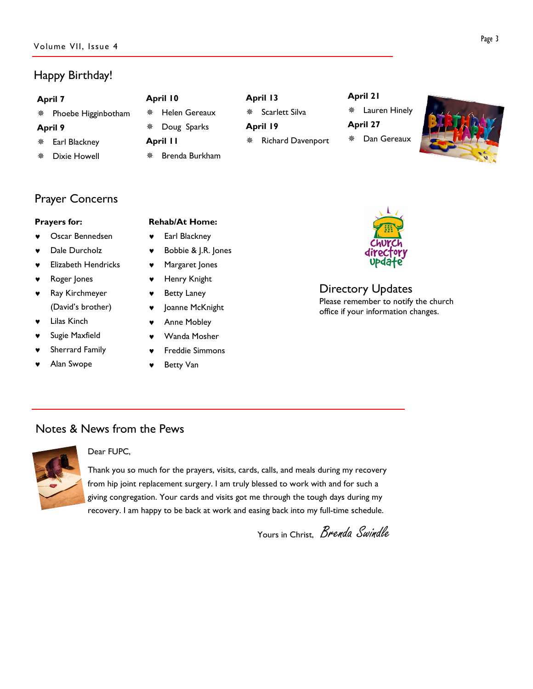# Happy Birthday!

| <b>April 7</b> |                     | April 10 |                | April 13 |                          | April 21 |               |  |
|----------------|---------------------|----------|----------------|----------|--------------------------|----------|---------------|--|
|                | Phoebe Higginbotham | 盤        | Helen Gereaux  | 槃        | Scarlett Silva           |          | Lauren Hinely |  |
| April 9        |                     | 榮        | Doug Sparks    | April 19 |                          | April 27 |               |  |
| 楽              | Earl Blackney       |          | April II       | 槃        | <b>Richard Davenport</b> | 豢        | Dan Gereaux   |  |
|                | Dixie Howell        | 鸒        | Brenda Burkham |          |                          |          |               |  |

# Prayer Concerns

### Prayers for:

- Oscar Bennedsen
- Dale Durcholz
- **Elizabeth Hendricks**
- Roger Jones
- ♥ Ray Kirchmeyer (David's brother)
- Lilas Kinch
- Sugie Maxfield
- Sherrard Family
- ♥ Alan Swope

### Rehab/At Home:

- ♥ Earl Blackney
- ♥ Bobbie & J.R. Jones
- ♥ Margaret Jones
- ♥ Henry Knight
- **Betty Laney**
- ♥ Joanne McKnight
	- Anne Mobley
- ♥ Wanda Mosher
- **Freddie Simmons**
- **Betty Van**



### Directory Updates Please remember to notify the church office if your information changes.

## Notes & News from the Pews



### Dear FUPC,

Thank you so much for the prayers, visits, cards, calls, and meals during my recovery from hip joint replacement surgery. I am truly blessed to work with and for such a giving congregation. Your cards and visits got me through the tough days during my recovery. I am happy to be back at work and easing back into my full-time schedule.

Yours in Christ, *Brenda Swindle*